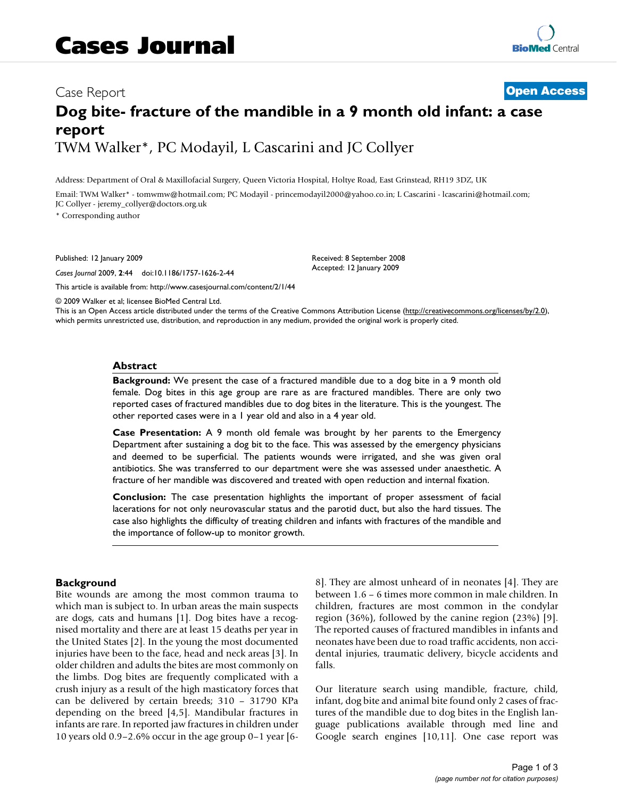# Case Report **[Open Access](http://www.biomedcentral.com/info/about/charter/) Dog bite- fracture of the mandible in a 9 month old infant: a case report** TWM Walker\*, PC Modayil, L Cascarini and JC Collyer

Address: Department of Oral & Maxillofacial Surgery, Queen Victoria Hospital, Holtye Road, East Grinstead, RH19 3DZ, UK

Email: TWM Walker\* - tomwmw@hotmail.com; PC Modayil - princemodayil2000@yahoo.co.in; L Cascarini - lcascarini@hotmail.com; JC Collyer - jeremy\_collyer@doctors.org.uk

\* Corresponding author

Published: 12 January 2009

*Cases Journal* 2009, **2**:44 doi:10.1186/1757-1626-2-44

[This article is available from: http://www.casesjournal.com/content/2/1/44](http://www.casesjournal.com/content/2/1/44)

Received: 8 September 2008 Accepted: 12 January 2009

© 2009 Walker et al; licensee BioMed Central Ltd.

This is an Open Access article distributed under the terms of the Creative Commons Attribution License [\(http://creativecommons.org/licenses/by/2.0\)](http://creativecommons.org/licenses/by/2.0), which permits unrestricted use, distribution, and reproduction in any medium, provided the original work is properly cited.

#### **Abstract**

**Background:** We present the case of a fractured mandible due to a dog bite in a 9 month old female. Dog bites in this age group are rare as are fractured mandibles. There are only two reported cases of fractured mandibles due to dog bites in the literature. This is the youngest. The other reported cases were in a 1 year old and also in a 4 year old.

**Case Presentation:** A 9 month old female was brought by her parents to the Emergency Department after sustaining a dog bit to the face. This was assessed by the emergency physicians and deemed to be superficial. The patients wounds were irrigated, and she was given oral antibiotics. She was transferred to our department were she was assessed under anaesthetic. A fracture of her mandible was discovered and treated with open reduction and internal fixation.

**Conclusion:** The case presentation highlights the important of proper assessment of facial lacerations for not only neurovascular status and the parotid duct, but also the hard tissues. The case also highlights the difficulty of treating children and infants with fractures of the mandible and the importance of follow-up to monitor growth.

#### **Background**

Bite wounds are among the most common trauma to which man is subject to. In urban areas the main suspects are dogs, cats and humans [1]. Dog bites have a recognised mortality and there are at least 15 deaths per year in the United States [2]. In the young the most documented injuries have been to the face, head and neck areas [3]. In older children and adults the bites are most commonly on the limbs. Dog bites are frequently complicated with a crush injury as a result of the high masticatory forces that can be delivered by certain breeds; 310 – 31790 KPa depending on the breed [4,5]. Mandibular fractures in infants are rare. In reported jaw fractures in children under 10 years old 0.9–2.6% occur in the age group 0–1 year [68]. They are almost unheard of in neonates [4]. They are between 1.6 – 6 times more common in male children. In children, fractures are most common in the condylar region (36%), followed by the canine region (23%) [9]. The reported causes of fractured mandibles in infants and neonates have been due to road traffic accidents, non accidental injuries, traumatic delivery, bicycle accidents and falls.

Our literature search using mandible, fracture, child, infant, dog bite and animal bite found only 2 cases of fractures of the mandible due to dog bites in the English language publications available through med line and Google search engines [10,11]. One case report was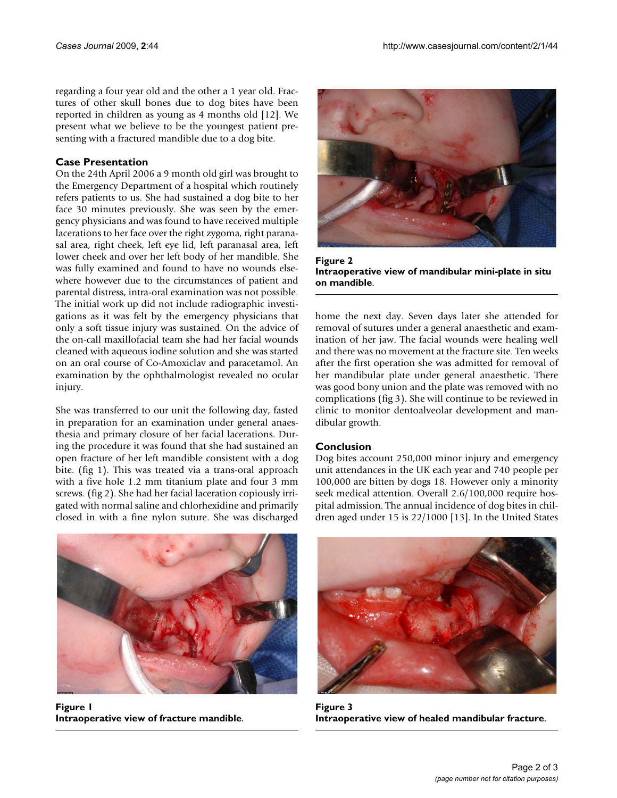regarding a four year old and the other a 1 year old. Fractures of other skull bones due to dog bites have been reported in children as young as 4 months old [12]. We present what we believe to be the youngest patient presenting with a fractured mandible due to a dog bite.

### **Case Presentation**

On the 24th April 2006 a 9 month old girl was brought to the Emergency Department of a hospital which routinely refers patients to us. She had sustained a dog bite to her face 30 minutes previously. She was seen by the emergency physicians and was found to have received multiple lacerations to her face over the right zygoma, right paranasal area, right cheek, left eye lid, left paranasal area, left lower cheek and over her left body of her mandible. She was fully examined and found to have no wounds elsewhere however due to the circumstances of patient and parental distress, intra-oral examination was not possible. The initial work up did not include radiographic investigations as it was felt by the emergency physicians that only a soft tissue injury was sustained. On the advice of the on-call maxillofacial team she had her facial wounds cleaned with aqueous iodine solution and she was started on an oral course of Co-Amoxiclav and paracetamol. An examination by the ophthalmologist revealed no ocular injury.

She was transferred to our unit the following day, fasted in preparation for an examination under general anaesthesia and primary closure of her facial lacerations. During the procedure it was found that she had sustained an open fracture of her left mandible consistent with a dog bite. (fig 1). This was treated via a trans-oral approach with a five hole 1.2 mm titanium plate and four 3 mm screws. (fig 2). She had her facial laceration copiously irrigated with normal saline and chlorhexidine and primarily closed in with a fine nylon suture. She was discharged



Figure 2 **Intraoperative view of mandibular mini-plate in situ on mandible**.

home the next day. Seven days later she attended for removal of sutures under a general anaesthetic and examination of her jaw. The facial wounds were healing well and there was no movement at the fracture site. Ten weeks after the first operation she was admitted for removal of her mandibular plate under general anaesthetic. There was good bony union and the plate was removed with no complications (fig 3). She will continue to be reviewed in clinic to monitor dentoalveolar development and mandibular growth.

# **Conclusion**

Dog bites account 250,000 minor injury and emergency unit attendances in the UK each year and 740 people per 100,000 are bitten by dogs 18. However only a minority seek medical attention. Overall 2.6/100,000 require hospital admission. The annual incidence of dog bites in children aged under 15 is 22/1000 [13]. In the United States



**Figure 1 Intraoperative view of fracture mandible**.



Figure 3 **Intraoperative view of healed mandibular fracture**.